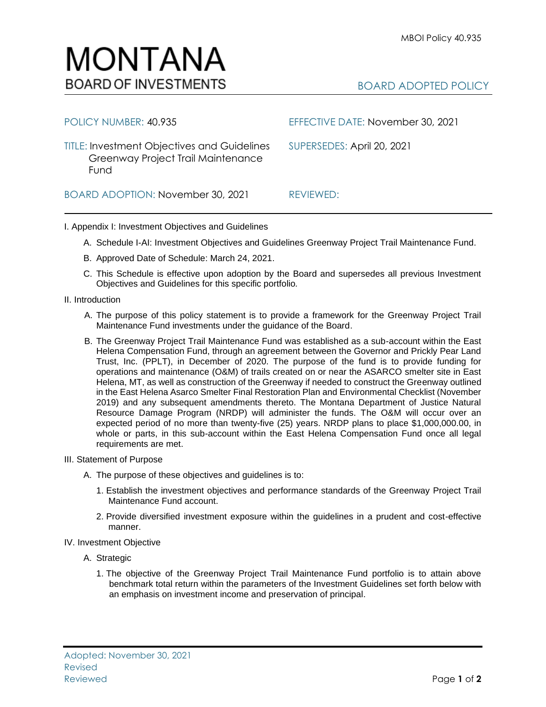

| POLICY NUMBER: 40.935                                                                            | EFFECTIVE DATE: November 30, 2021 |
|--------------------------------------------------------------------------------------------------|-----------------------------------|
| <b>TITLE: Investment Objectives and Guidelines</b><br>Greenway Project Trail Maintenance<br>Fund | SUPERSEDES: April 20, 2021        |
| BOARD ADOPTION: November 30, 2021                                                                | REVIEWED:                         |

## I. Appendix I: Investment Objectives and Guidelines

- A. Schedule I-AI: Investment Objectives and Guidelines Greenway Project Trail Maintenance Fund.
- B. Approved Date of Schedule: March 24, 2021.
- C. This Schedule is effective upon adoption by the Board and supersedes all previous Investment Objectives and Guidelines for this specific portfolio*.*
- II. Introduction
	- A. The purpose of this policy statement is to provide a framework for the Greenway Project Trail Maintenance Fund investments under the guidance of the Board.
	- B. The Greenway Project Trail Maintenance Fund was established as a sub-account within the East Helena Compensation Fund, through an agreement between the Governor and Prickly Pear Land Trust, Inc. (PPLT), in December of 2020. The purpose of the fund is to provide funding for operations and maintenance (O&M) of trails created on or near the ASARCO smelter site in East Helena, MT, as well as construction of the Greenway if needed to construct the Greenway outlined in the East Helena Asarco Smelter Final Restoration Plan and Environmental Checklist (November 2019) and any subsequent amendments thereto. The Montana Department of Justice Natural Resource Damage Program (NRDP) will administer the funds. The O&M will occur over an expected period of no more than twenty-five (25) years. NRDP plans to place \$1,000,000.00, in whole or parts, in this sub-account within the East Helena Compensation Fund once all legal requirements are met.
- III. Statement of Purpose
	- A. The purpose of these objectives and guidelines is to:
		- 1. Establish the investment objectives and performance standards of the Greenway Project Trail Maintenance Fund account.
		- 2. Provide diversified investment exposure within the guidelines in a prudent and cost-effective manner.
- IV. Investment Objective
	- A. Strategic
		- 1. The objective of the Greenway Project Trail Maintenance Fund portfolio is to attain above benchmark total return within the parameters of the Investment Guidelines set forth below with an emphasis on investment income and preservation of principal.